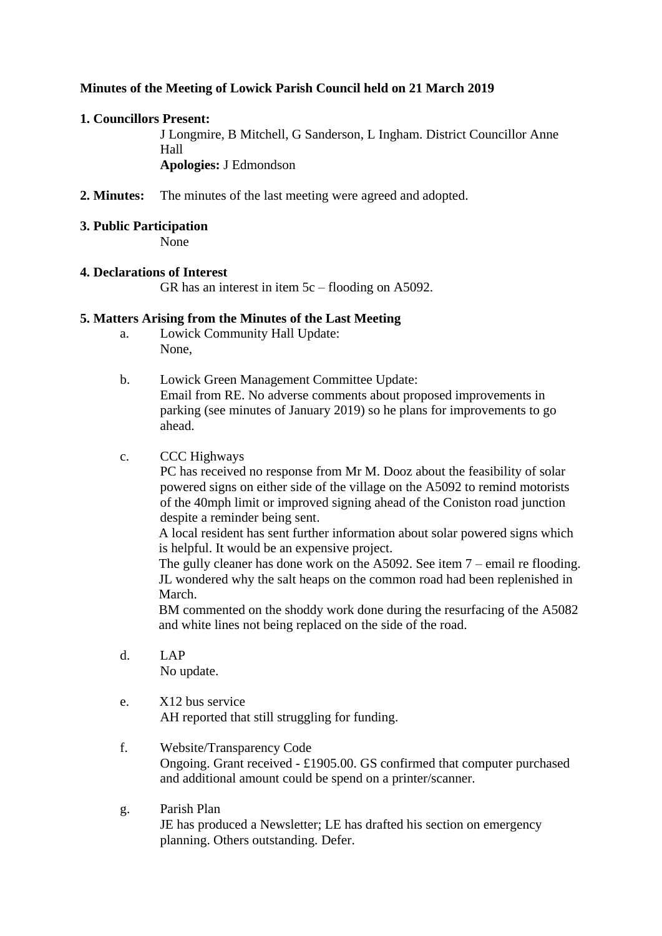# **Minutes of the Meeting of Lowick Parish Council held on 21 March 2019**

## **1. Councillors Present:**

J Longmire, B Mitchell, G Sanderson, L Ingham. District Councillor Anne Hall **Apologies:** J Edmondson

- **2. Minutes:** The minutes of the last meeting were agreed and adopted.
- **3. Public Participation** None

### **4. Declarations of Interest**

GR has an interest in item 5c – flooding on A5092.

## **5. Matters Arising from the Minutes of the Last Meeting**

- a. Lowick Community Hall Update: None,
- b. Lowick Green Management Committee Update: Email from RE. No adverse comments about proposed improvements in parking (see minutes of January 2019) so he plans for improvements to go ahead.
- c. CCC Highways

PC has received no response from Mr M. Dooz about the feasibility of solar powered signs on either side of the village on the A5092 to remind motorists of the 40mph limit or improved signing ahead of the Coniston road junction despite a reminder being sent.

A local resident has sent further information about solar powered signs which is helpful. It would be an expensive project.

The gully cleaner has done work on the A5092. See item 7 – email re flooding. JL wondered why the salt heaps on the common road had been replenished in March.

BM commented on the shoddy work done during the resurfacing of the A5082 and white lines not being replaced on the side of the road.

- d. LAP No update.
- e. X12 bus service AH reported that still struggling for funding.
- f. Website/Transparency Code Ongoing. Grant received - £1905.00. GS confirmed that computer purchased and additional amount could be spend on a printer/scanner.
- g. Parish Plan JE has produced a Newsletter; LE has drafted his section on emergency planning. Others outstanding. Defer.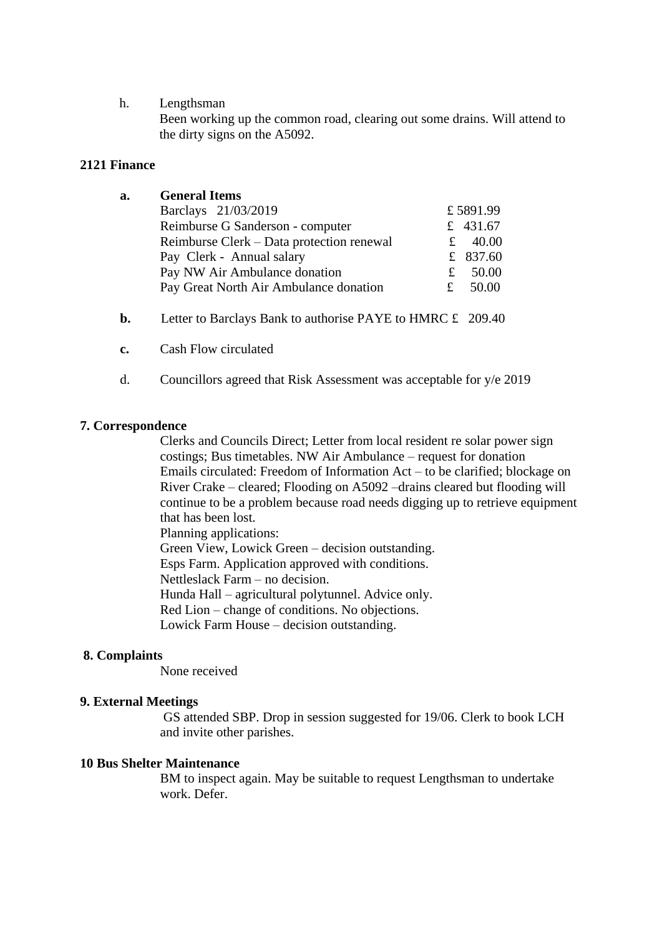#### h. Lengthsman

Been working up the common road, clearing out some drains. Will attend to the dirty signs on the A5092.

## **2121 Finance**

| a. | <b>General Items</b>                      |            |
|----|-------------------------------------------|------------|
|    | Barclays 21/03/2019                       | £5891.99   |
|    | Reimburse G Sanderson - computer          | £ 431.67   |
|    | Reimburse Clerk - Data protection renewal | £ $40.00$  |
|    | Pay Clerk - Annual salary                 | £ $837.60$ |
|    | Pay NW Air Ambulance donation             | 50.00<br>£ |
|    | Pay Great North Air Ambulance donation    | 50.00<br>£ |
|    |                                           |            |

- **b.** Letter to Barclays Bank to authorise PAYE to HMRC £ 209.40
- **c.** Cash Flow circulated
- d. Councillors agreed that Risk Assessment was acceptable for y/e 2019

### **7. Correspondence**

Clerks and Councils Direct; Letter from local resident re solar power sign costings; Bus timetables. NW Air Ambulance – request for donation Emails circulated: Freedom of Information Act – to be clarified; blockage on River Crake – cleared; Flooding on A5092 –drains cleared but flooding will continue to be a problem because road needs digging up to retrieve equipment that has been lost. Planning applications: Green View, Lowick Green – decision outstanding. Esps Farm. Application approved with conditions. Nettleslack Farm – no decision.

Hunda Hall – agricultural polytunnel. Advice only.

Red Lion – change of conditions. No objections.

Lowick Farm House – decision outstanding.

#### **8. Complaints**

None received

#### **9. External Meetings**

GS attended SBP. Drop in session suggested for 19/06. Clerk to book LCH and invite other parishes.

## **10 Bus Shelter Maintenance**

BM to inspect again. May be suitable to request Lengthsman to undertake work. Defer.